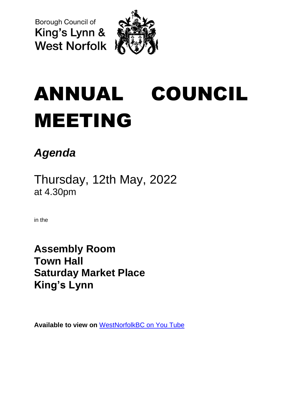**Borough Council of** King's Lynn & **West Norfolk** 



# ANNUAL COUNCIL MEETING

## *Agenda*

Thursday, 12th May, 2022 at 4.30pm

in the

**Assembly Room Town Hall Saturday Market Place King's Lynn**

**Available to view on** [WestNorfolkBC on You Tube](https://www.youtube.com/user/WestNorfolkBC)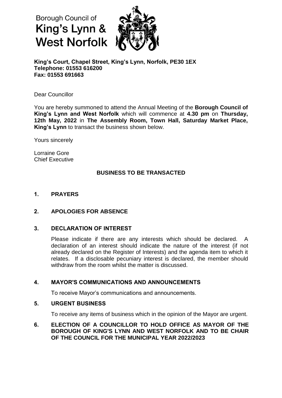### Borough Council of King's Lynn & **West Norfolk**



**King's Court, Chapel Street, King's Lynn, Norfolk, PE30 1EX Telephone: 01553 616200 Fax: 01553 691663**

Dear Councillor

You are hereby summoned to attend the Annual Meeting of the **Borough Council of King's Lynn and West Norfolk** which will commence at **4.30 pm** on **Thursday, 12th May, 2022** in **The Assembly Room, Town Hall, Saturday Market Place, King's Lynn** to transact the business shown below.

Yours sincerely

Lorraine Gore Chief Executive

#### **BUSINESS TO BE TRANSACTED**

#### **1. PRAYERS**

#### **2. APOLOGIES FOR ABSENCE**

#### **3. DECLARATION OF INTEREST**

Please indicate if there are any interests which should be declared. A declaration of an interest should indicate the nature of the interest (if not already declared on the Register of Interests) and the agenda item to which it relates. If a disclosable pecuniary interest is declared, the member should withdraw from the room whilst the matter is discussed.

#### **4. MAYOR'S COMMUNICATIONS AND ANNOUNCEMENTS**

To receive Mayor's communications and announcements.

#### **5. URGENT BUSINESS**

To receive any items of business which in the opinion of the Mayor are urgent.

#### **6. ELECTION OF A COUNCILLOR TO HOLD OFFICE AS MAYOR OF THE BOROUGH OF KING'S LYNN AND WEST NORFOLK AND TO BE CHAIR OF THE COUNCIL FOR THE MUNICIPAL YEAR 2022/2023**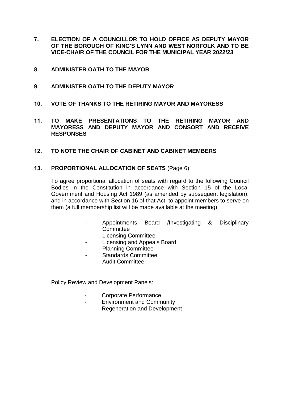- **7. ELECTION OF A COUNCILLOR TO HOLD OFFICE AS DEPUTY MAYOR OF THE BOROUGH OF KING'S LYNN AND WEST NORFOLK AND TO BE VICE-CHAIR OF THE COUNCIL FOR THE MUNICIPAL YEAR 2022/23**
- **8. ADMINISTER OATH TO THE MAYOR**
- **9. ADMINISTER OATH TO THE DEPUTY MAYOR**
- **10. VOTE OF THANKS TO THE RETIRING MAYOR AND MAYORESS**
- **11. TO MAKE PRESENTATIONS TO THE RETIRING MAYOR AND MAYORESS AND DEPUTY MAYOR AND CONSORT AND RECEIVE RESPONSES**
- **12. TO NOTE THE CHAIR OF CABINET AND CABINET MEMBERS**

#### **13. PROPORTIONAL ALLOCATION OF SEATS** (Page 6)

To agree proportional allocation of seats with regard to the following Council Bodies in the Constitution in accordance with Section 15 of the Local Government and Housing Act 1989 (as amended by subsequent legislation), and in accordance with Section 16 of that Act, to appoint members to serve on them (a full membership list will be made available at the meeting):

- Appointments Board /Investigating & Disciplinary **Committee**
- Licensing Committee
- Licensing and Appeals Board
- Planning Committee
- Standards Committee
- Audit Committee

Policy Review and Development Panels:

- Corporate Performance
- Environment and Community
- Regeneration and Development